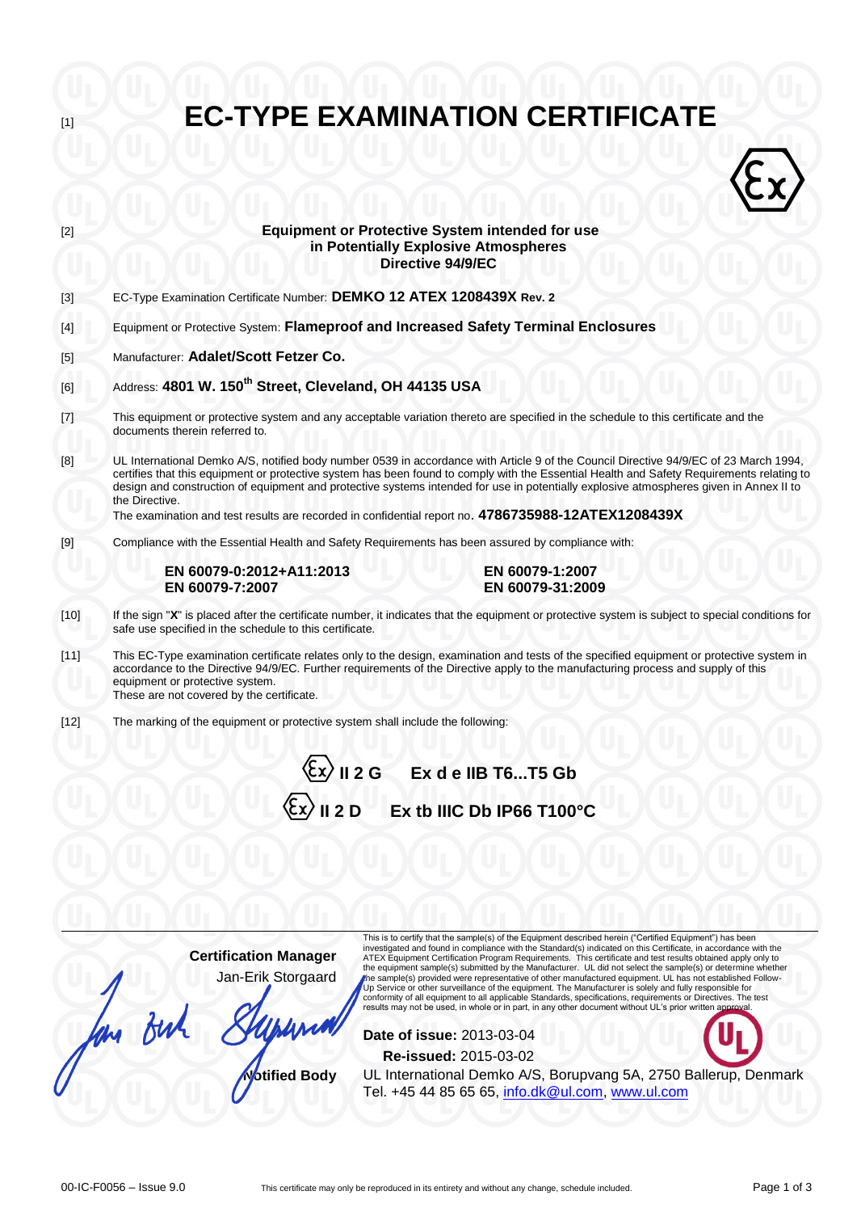| $[2]$                                                                                                                                                                                                                                                          | <b>Equipment or Protective System intended for use</b><br>in Potentially Explosive Atmospheres<br>Directive 94/9/EC                                                                                                                                                                                                                                                                                                                                                                                                                                  |  |  |
|----------------------------------------------------------------------------------------------------------------------------------------------------------------------------------------------------------------------------------------------------------------|------------------------------------------------------------------------------------------------------------------------------------------------------------------------------------------------------------------------------------------------------------------------------------------------------------------------------------------------------------------------------------------------------------------------------------------------------------------------------------------------------------------------------------------------------|--|--|
| $[3]$                                                                                                                                                                                                                                                          | EC-Type Examination Certificate Number: DEMKO 12 ATEX 1208439X Rev. 2                                                                                                                                                                                                                                                                                                                                                                                                                                                                                |  |  |
| $[4] % \includegraphics[width=0.9\columnwidth]{figures/fig_4} \caption{A=}\label{fig:2} %$                                                                                                                                                                     | Equipment or Protective System: Flameproof and Increased Safety Terminal Enclosures                                                                                                                                                                                                                                                                                                                                                                                                                                                                  |  |  |
| $[5]$                                                                                                                                                                                                                                                          | Manufacturer: Adalet/Scott Fetzer Co.                                                                                                                                                                                                                                                                                                                                                                                                                                                                                                                |  |  |
| [6]                                                                                                                                                                                                                                                            | Address: 4801 W. 150 <sup>th</sup> Street, Cleveland, OH 44135 USA                                                                                                                                                                                                                                                                                                                                                                                                                                                                                   |  |  |
| $[7] \centering% \includegraphics[width=1.0\textwidth]{images/TrDiC-Architecture.png} \caption{The 3D (top) and the 4D (bottom) of the 3D (bottom) and the 4D (bottom) of the 3D (bottom) and the 4D (bottom) of the 3D (bottom).} \label{TrDiC-Architecture}$ | This equipment or protective system and any acceptable variation thereto are specified in the schedule to this certificate and the<br>documents therein referred to.                                                                                                                                                                                                                                                                                                                                                                                 |  |  |
| [8]                                                                                                                                                                                                                                                            | UL International Demko A/S, notified body number 0539 in accordance with Article 9 of the Council Directive 94/9/EC of 23 March 1994,<br>certifies that this equipment or protective system has been found to comply with the Essential Health and Safety Requirements relating to<br>design and construction of equipment and protective systems intended for use in potentially explosive atmospheres given in Annex II to<br>the Directive.<br>The examination and test results are recorded in confidential report no. 4786735988-12ATEX1208439X |  |  |
|                                                                                                                                                                                                                                                                | Compliance with the Essential Health and Safety Requirements has been assured by compliance with:                                                                                                                                                                                                                                                                                                                                                                                                                                                    |  |  |
|                                                                                                                                                                                                                                                                | EN 60079-0:2012+A11:2013<br>EN 60079-1:2007<br>EN 60079-7:2007<br>EN 60079-31:2009                                                                                                                                                                                                                                                                                                                                                                                                                                                                   |  |  |
| $[10]$                                                                                                                                                                                                                                                         | If the sign "X" is placed after the certificate number, it indicates that the equipment or protective system is subject to special conditions for<br>safe use specified in the schedule to this certificate.                                                                                                                                                                                                                                                                                                                                         |  |  |
| $[11]$                                                                                                                                                                                                                                                         | This EC-Type examination certificate relates only to the design, examination and tests of the specified equipment or protective system in<br>accordance to the Directive 94/9/EC. Further requirements of the Directive apply to the manufacturing process and supply of this<br>equipment or protective system.<br>These are not covered by the certificate.                                                                                                                                                                                        |  |  |
| $[12]$                                                                                                                                                                                                                                                         | The marking of the equipment or protective system shall include the following:                                                                                                                                                                                                                                                                                                                                                                                                                                                                       |  |  |
|                                                                                                                                                                                                                                                                | Il 2 G Ex de IIB T6T5 Gb                                                                                                                                                                                                                                                                                                                                                                                                                                                                                                                             |  |  |
|                                                                                                                                                                                                                                                                | <b>II 2 D</b><br>Ex tb IIIC Db IP66 T100°C                                                                                                                                                                                                                                                                                                                                                                                                                                                                                                           |  |  |
|                                                                                                                                                                                                                                                                |                                                                                                                                                                                                                                                                                                                                                                                                                                                                                                                                                      |  |  |
|                                                                                                                                                                                                                                                                |                                                                                                                                                                                                                                                                                                                                                                                                                                                                                                                                                      |  |  |
|                                                                                                                                                                                                                                                                | This is to certify that the sample(s) of the Equipment described herein ("Certified Equipment") has been<br>investigated and found in compliance with the Standard(s) indicated on this Certificate, in accordance with the<br><b>Certification Manager</b><br>ATEX Equipment Certification Program Requirements. This certificate and test results obtained apply only to                                                                                                                                                                           |  |  |

**EC-TYPE EXAMINATION CERTIFICATE** 

m Buh **Date of issue:** 2013-03-04 **Re-issued:** 2015-03-02 **Notified Body** UL International Demko A/S, Borupvang 5A, 2750 Ballerup, Denmark Tel. +45 44 85 65 65, [info.dk@ul.com,](mailto:info.dk@ul.com) [www.ul.com](http://www.ul.com/)

Jan-Erik Storgaard

the equipment sample(s) submitted by the Manufacturer. UL did not select the sample(s) or determine whether<br>khe sample(s) provided were representative of other manufactured equipment. UL has not established Follow-<br>Up Serv

results may not be used, in whole or in part, in any other document without UL's prior written approval.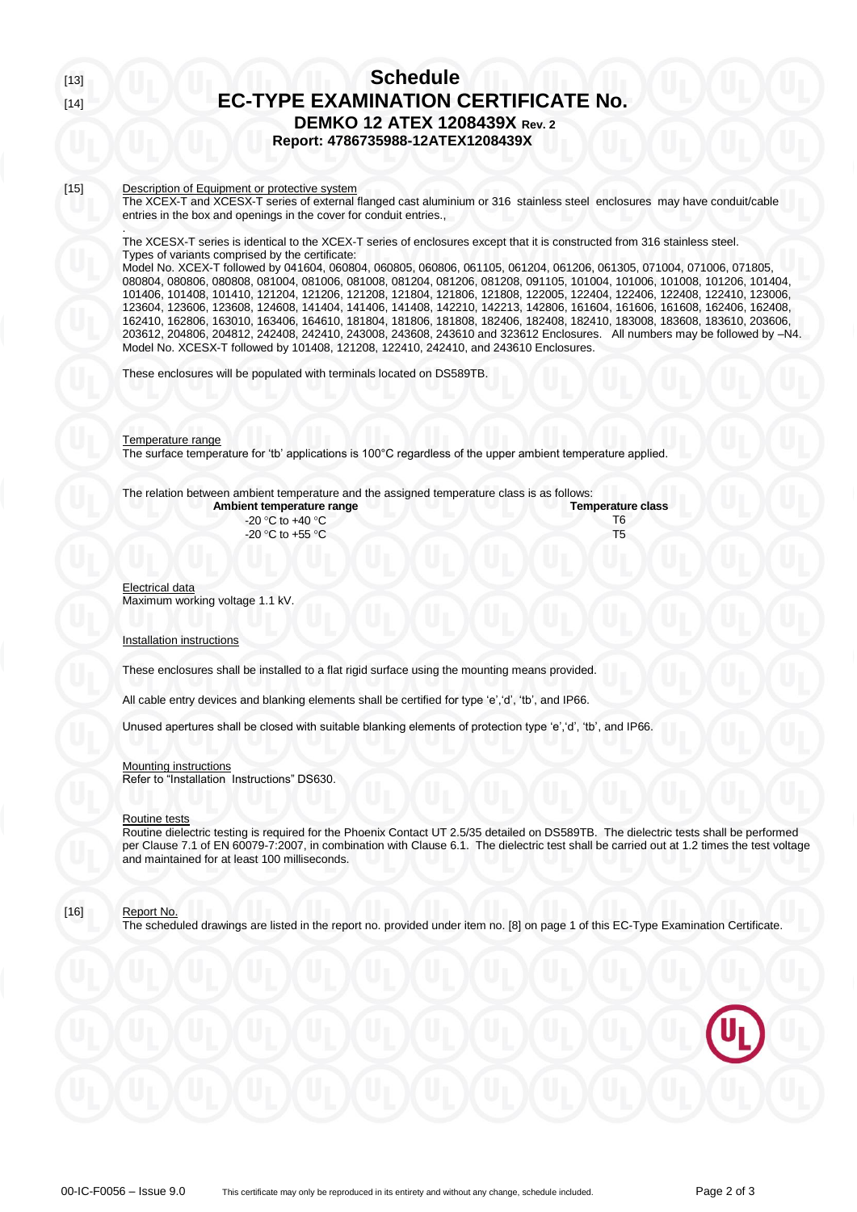# [13] **Schedule** [14] **EC-TYPE EXAMINATION CERTIFICATE No. DEMKO 12 ATEX 1208439X Rev. 2 Report: 4786735988-12ATEX1208439X**

#### [15] Description of Equipment or protective system

.

The XCEX-T and XCESX-T series of external flanged cast aluminium or 316 stainless steel enclosures may have conduit/cable entries in the box and openings in the cover for conduit entries.,

The XCESX-T series is identical to the XCEX-T series of enclosures except that it is constructed from 316 stainless steel. Types of variants comprised by the certificate:

Model No. XCEX-T followed by 041604, 060804, 060805, 060806, 061105, 061204, 061206, 061305, 071004, 071006, 071805, 080804, 080806, 080808, 081004, 081006, 081008, 081204, 081206, 081208, 091105, 101004, 101006, 101008, 101206, 101404, 101406, 101408, 101410, 121204, 121206, 121208, 121804, 121806, 121808, 122005, 122404, 122406, 122408, 122410, 123006, 123604, 123606, 123608, 124608, 141404, 141406, 141408, 142210, 142213, 142806, 161604, 161606, 161608, 162406, 162408, 162410, 162806, 163010, 163406, 164610, 181804, 181806, 181808, 182406, 182408, 182410, 183008, 183608, 183610, 203606, 203612, 204806, 204812, 242408, 242410, 243008, 243608, 243610 and 323612 Enclosures. All numbers may be followed by –N4. Model No. XCESX-T followed by 101408, 121208, 122410, 242410, and 243610 Enclosures.

These enclosures will be populated with terminals located on DS589TB.

Temperature range The surface temperature for 'tb' applications is 100°C regardless of the upper ambient temperature applied.

# The relation between ambient temperature and the assigned temperature class is as follows:

| Ambient temperature range | <b>Temperature class</b> |
|---------------------------|--------------------------|
| -20 °C to +40 °C          |                          |
| -20 °C to +55 °C          |                          |
|                           |                          |

Electrical data Maximum working voltage 1.1 kV.

#### Installation instructions

These enclosures shall be installed to a flat rigid surface using the mounting means provided.

All cable entry devices and blanking elements shall be certified for type 'e','d', 'tb', and IP66.

Unused apertures shall be closed with suitable blanking elements of protection type 'e','d', 'tb', and IP66.

## Mounting instructions

Refer to "Installation Instructions" DS630.

#### Routine tests

Routine dielectric testing is required for the Phoenix Contact UT 2.5/35 detailed on DS589TB. The dielectric tests shall be performed per Clause 7.1 of EN 60079-7:2007, in combination with Clause 6.1. The dielectric test shall be carried out at 1.2 times the test voltage and maintained for at least 100 milliseconds.

## [16] Report No.

The scheduled drawings are listed in the report no. provided under item no. [8] on page 1 of this EC-Type Examination Certificate.